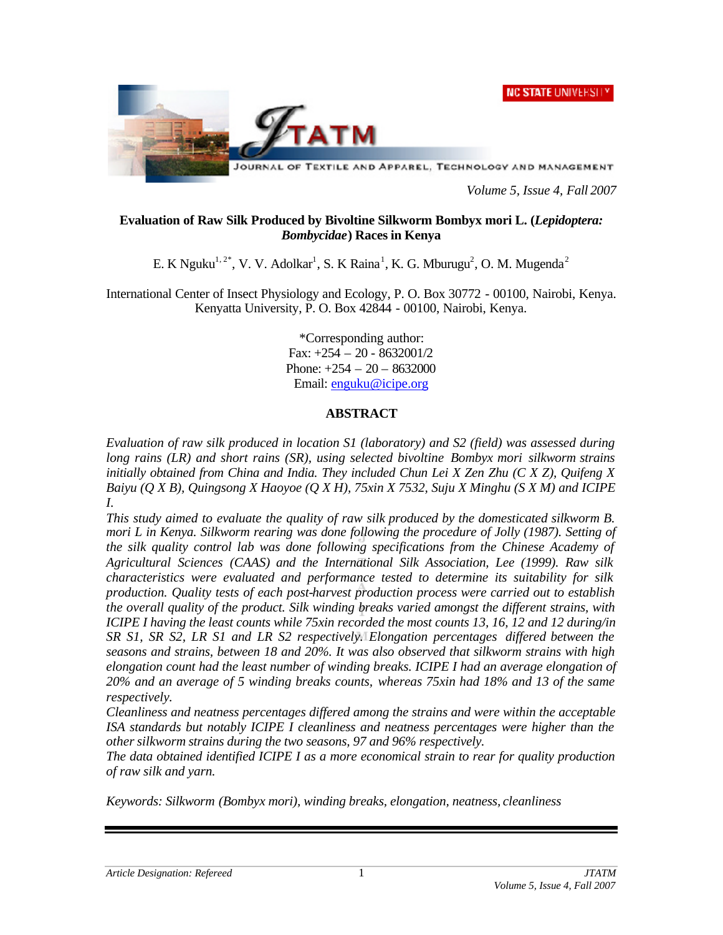**NC STATE UNIVERSIT** 



*Volume 5, Issue 4, Fall 2007*

# **Evaluation of Raw Silk Produced by Bivoltine Silkworm Bombyx mori L. (***Lepidoptera: Bombycidae***) Races in Kenya**

E. K Nguku<sup>1, 2\*</sup>, V. V. Adolkar<sup>1</sup>, S. K Raina<sup>1</sup>, K. G. Mburugu<sup>2</sup>, O. M. Mugenda<sup>2</sup>

International Center of Insect Physiology and Ecology, P. O. Box 30772 - 00100, Nairobi, Kenya. Kenyatta University, P. O. Box 42844 - 00100, Nairobi, Kenya.

> \*Corresponding author: Fax: +254 – 20 - 8632001/2 Phone:  $+254 - 20 - 8632000$ Email: enguku@icipe.org

# **ABSTRACT**

*Evaluation of raw silk produced in location S1 (laboratory) and S2 (field) was assessed during long rains (LR) and short rains (SR), using selected bivoltine Bombyx mori silkworm strains initially obtained from China and India. They included Chun Lei X Zen Zhu (C X Z), Quifeng X Baiyu (Q X B), Quingsong X Haoyoe (Q X H), 75xin X 7532, Suju X Minghu (S X M) and ICIPE I.* 

*This study aimed to evaluate the quality of raw silk produced by the domesticated silkworm B. mori L in Kenya. Silkworm rearing was done following the procedure of Jolly (1987). Setting of the silk quality control lab was done following specifications from the Chinese Academy of Agricultural Sciences (CAAS) and the International Silk Association, Lee (1999). Raw silk characteristics were evaluated and performance tested to determine its suitability for silk production. Quality tests of each post-harvest production process were carried out to establish the overall quality of the product. Silk winding breaks varied amongst the different strains, with ICIPE I having the least counts while 75xin recorded the most counts 13, 16, 12 and 12 during/in SR S1, SR S2, LR S1 and LR S2 respectively. Elongation percentages differed between the seasons and strains, between 18 and 20%. It was also observed that silkworm strains with high elongation count had the least number of winding breaks. ICIPE I had an average elongation of 20% and an average of 5 winding breaks counts, whereas 75xin had 18% and 13 of the same respectively.*

*Cleanliness and neatness percentages differed among the strains and were within the acceptable*  ISA standards but notably ICIPE I cleanliness and neatness percentages were higher than the *other silkworm strains during the two seasons, 97 and 96% respectively.* 

*The data obtained identified ICIPE I as a more economical strain to rear for quality production of raw silk and yarn.* 

*Keywords: Silkworm (Bombyx mori), winding breaks, elongation, neatness, cleanliness*

1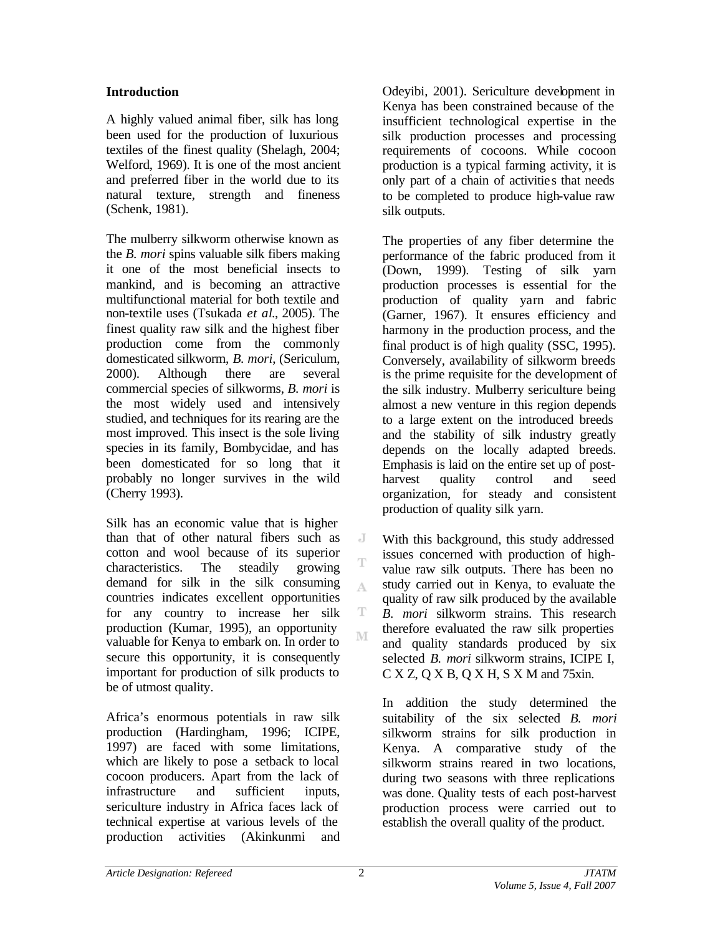# **Introduction**

A highly valued animal fiber, silk has long been used for the production of luxurious textiles of the finest quality (Shelagh, 2004; Welford, 1969). It is one of the most ancient and preferred fiber in the world due to its natural texture, strength and fineness (Schenk, 1981).

The mulberry silkworm otherwise known as the *B. mori* spins valuable silk fibers making it one of the most beneficial insects to mankind, and is becoming an attractive multifunctional material for both textile and non-textile uses (Tsukada *et al*., 2005). The finest quality raw silk and the highest fiber production come from the commonly domesticated silkworm, *B. mori*, (Sericulum, 2000). Although there are several commercial species of silkworms, *B. mori* is the most widely used and intensively studied, and techniques for its rearing are the most improved. This insect is the sole living species in its family, Bombycidae, and has been domesticated for so long that it probably no longer survives in the wild (Cherry 1993).

Silk has an economic value that is higher than that of other natural fibers such as cotton and wool because of its superior characteristics. The steadily growing demand for silk in the silk consuming countries indicates excellent opportunities for any country to increase her silk production (Kumar, 1995), an opportunity valuable for Kenya to embark on. In order to secure this opportunity, it is consequently important for production of silk products to be of utmost quality.

Africa's enormous potentials in raw silk production (Hardingham, 1996; ICIPE, 1997) are faced with some limitations, which are likely to pose a setback to local cocoon producers. Apart from the lack of infrastructure and sufficient inputs, sericulture industry in Africa faces lack of technical expertise at various levels of the production activities (Akinkunmi and

Odeyibi, 2001). Sericulture development in Kenya has been constrained because of the insufficient technological expertise in the silk production processes and processing requirements of cocoons. While cocoon production is a typical farming activity, it is only part of a chain of activitie s that needs to be completed to produce high-value raw silk outputs.

The properties of any fiber determine the performance of the fabric produced from it (Down, 1999). Testing of silk yarn production processes is essential for the production of quality yarn and fabric (Garner, 1967). It ensures efficiency and harmony in the production process, and the final product is of high quality (SSC, 1995). Conversely, availability of silkworm breeds is the prime requisite for the development of the silk industry. Mulberry sericulture being almost a new venture in this region depends to a large extent on the introduced breeds and the stability of silk industry greatly depends on the locally adapted breeds. Emphasis is laid on the entire set up of postharvest quality control and seed organization, for steady and consistent production of quality silk yarn.

With this background, this study addressed issues concerned with production of highvalue raw silk outputs. There has been no study carried out in Kenya, to evaluate the quality of raw silk produced by the available *B. mori* silkworm strains. This research therefore evaluated the raw silk properties and quality standards produced by six selected *B. mori* silkworm strains, ICIPE I,  $C$  X Z, Q X B, Q X H, S X M and 75xin.

In addition the study determined the suitability of the six selected *B. mori* silkworm strains for silk production in Kenya. A comparative study of the silkworm strains reared in two locations, during two seasons with three replications was done. Quality tests of each post-harvest production process were carried out to establish the overall quality of the product.

J T

A

T M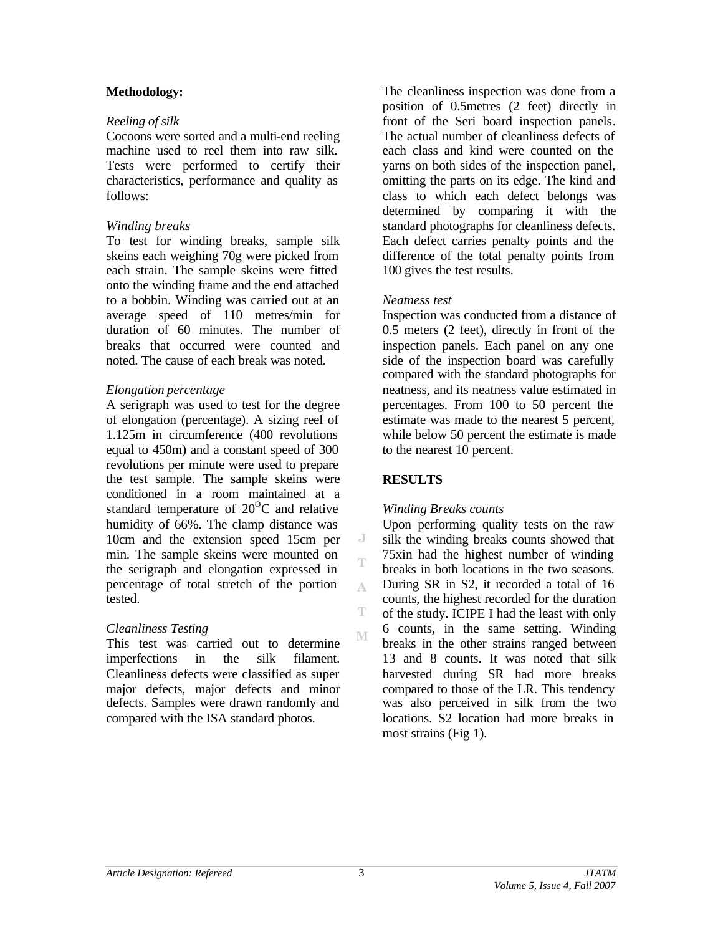#### **Methodology:**

#### *Reeling of silk*

Cocoons were sorted and a multi-end reeling machine used to reel them into raw silk. Tests were performed to certify their characteristics, performance and quality as follows:

#### *Winding breaks*

To test for winding breaks, sample silk skeins each weighing 70g were picked from each strain. The sample skeins were fitted onto the winding frame and the end attached to a bobbin. Winding was carried out at an average speed of 110 metres/min for duration of 60 minutes. The number of breaks that occurred were counted and noted. The cause of each break was noted.

# *Elongation percentage*

A serigraph was used to test for the degree of elongation (percentage). A sizing reel of 1.125m in circumference (400 revolutions equal to 450m) and a constant speed of 300 revolutions per minute were used to prepare the test sample. The sample skeins were conditioned in a room maintained at a standard temperature of  $20^{\circ}$ C and relative humidity of 66%. The clamp distance was 10cm and the extension speed 15cm per min. The sample skeins were mounted on the serigraph and elongation expressed in percentage of total stretch of the portion tested.

#### *Cleanliness Testing*

This test was carried out to determine imperfections in the silk filament. Cleanliness defects were classified as super major defects, major defects and minor defects. Samples were drawn randomly and compared with the ISA standard photos.

The cleanliness inspection was done from a position of 0.5metres (2 feet) directly in front of the Seri board inspection panels. The actual number of cleanliness defects of each class and kind were counted on the yarns on both sides of the inspection panel, omitting the parts on its edge. The kind and class to which each defect belongs was determined by comparing it with the standard photographs for cleanliness defects. Each defect carries penalty points and the difference of the total penalty points from 100 gives the test results.

#### *Neatness test*

Inspection was conducted from a distance of 0.5 meters (2 feet), directly in front of the inspection panels. Each panel on any one side of the inspection board was carefully compared with the standard photographs for neatness, and its neatness value estimated in percentages. From 100 to 50 percent the estimate was made to the nearest 5 percent, while below 50 percent the estimate is made to the nearest 10 percent.

# **RESULTS**

J Ť

A

T M

#### *Winding Breaks counts*

Upon performing quality tests on the raw silk the winding breaks counts showed that 75xin had the highest number of winding breaks in both locations in the two seasons. During SR in S2, it recorded a total of 16 counts, the highest recorded for the duration of the study. ICIPE I had the least with only 6 counts, in the same setting. Winding breaks in the other strains ranged between 13 and 8 counts. It was noted that silk harvested during SR had more breaks compared to those of the LR. This tendency was also perceived in silk from the two locations. S2 location had more breaks in most strains (Fig 1).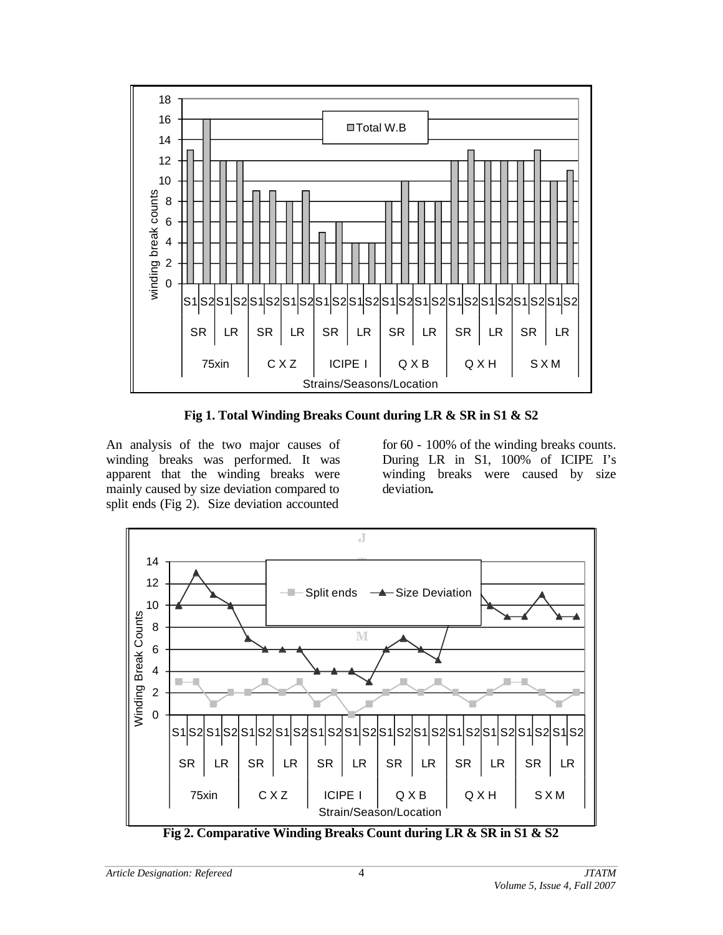

**Fig 1. Total Winding Breaks Count during LR & SR in S1 & S2**

An analysis of the two major causes of winding breaks was performed. It was apparent that the winding breaks were mainly caused by size deviation compared to split ends (Fig 2). Size deviation accounted

for 60 - 100% of the winding breaks counts. During LR in S1, 100% of ICIPE I's winding breaks were caused by size deviation**.**

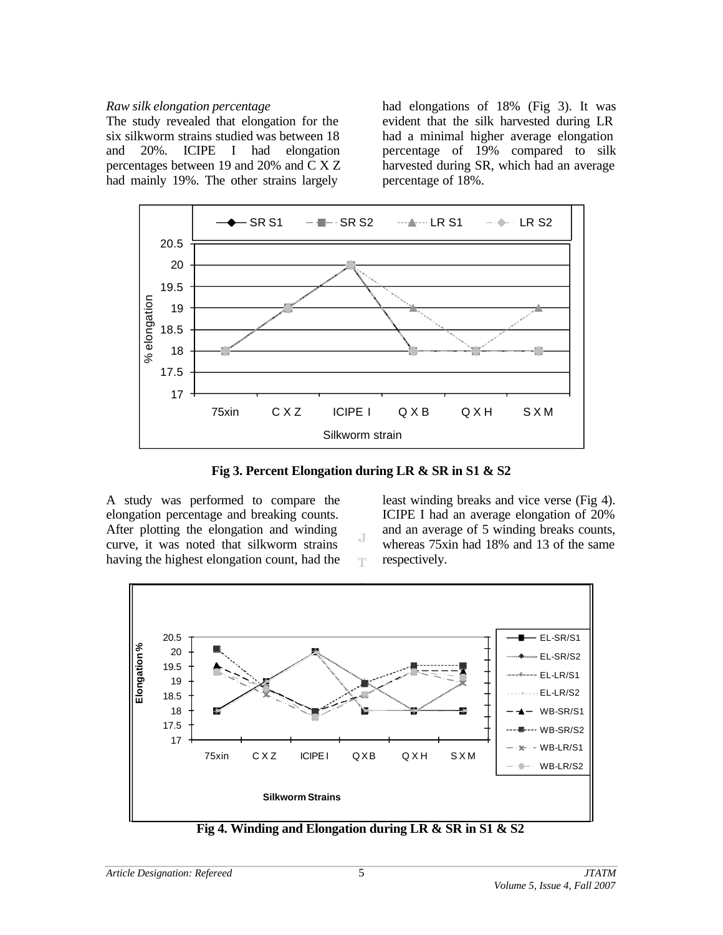#### *Raw silk elongation percentage*

The study revealed that elongation for the six silkworm strains studied was between 18 and 20%. ICIPE I had elongation percentages between 19 and 20% and C X Z had mainly 19%. The other strains largely

had elongations of 18% (Fig 3). It was evident that the silk harvested during LR had a minimal higher average elongation percentage of 19% compared to silk harvested during SR, which had an average percentage of 18%.



**Fig 3. Percent Elongation during LR & SR in S1 & S2**

J T

A study was performed to compare the elongation percentage and breaking counts. After plotting the elongation and winding curve, it was noted that silkworm strains having the highest elongation count, had the

least winding breaks and vice verse (Fig 4). ICIPE I had an average elongation of 20% and an average of 5 winding breaks counts, whereas 75xin had 18% and 13 of the same respectively.



**Fig 4. Winding and Elongation during LR & SR in S1 & S2**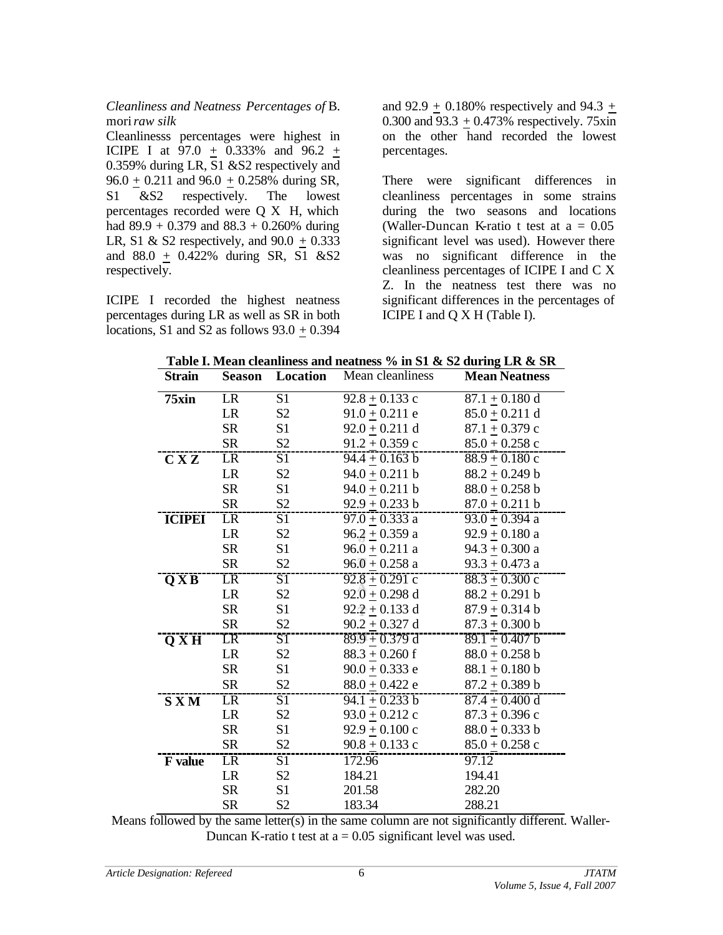*Cleanliness and Neatness Percentages of* B. mori*raw silk* 

Cleanlinesss percentages were highest in ICIPE I at  $97.0 + 0.333\%$  and  $96.2 +$ 0.359% during LR, S1 &S2 respectively and  $96.0 + 0.211$  and  $96.0 + 0.258\%$  during SR, S1 &S2 respectively. The lowest percentages recorded were Q X H, which had  $89.9 + 0.379$  and  $88.3 + 0.260\%$  during LR, S1 & S2 respectively, and  $90.0 + 0.333$ and  $88.0 + 0.422\%$  during SR, S1 &S2 respectively.

ICIPE I recorded the highest neatness percentages during LR as well as SR in both locations, S1 and S2 as follows  $93.0 + 0.394$  and  $92.9 + 0.180\%$  respectively and  $94.3 +$ 0.300 and  $93.3 + 0.473\%$  respectively. 75xin on the other hand recorded the lowest percentages.

There were significant differences in cleanliness percentages in some strains during the two seasons and locations (Waller-Duncan K-ratio t test at  $a = 0.05$ significant level was used). However there was no significant difference in the cleanliness percentages of ICIPE I and C X Z. In the neatness test there was no significant differences in the percentages of ICIPE I and Q X H (Table I).

|  |                                                                                                                |  |  | Table I. Mean cleanliness and neatness % in S1 & S2 during LR & SR |
|--|----------------------------------------------------------------------------------------------------------------|--|--|--------------------------------------------------------------------|
|  | 그 그 사람들은 그 사람들은 그 사람들은 그 사람들을 지르며 그 사람들을 지르며 그 사람들을 지르며 그 사람들을 지르며 그 사람들을 지르며 그 사람들을 지르며 그 사람들을 지르며 그 사람들을 지르며 |  |  |                                                                    |

| <b>Strain</b>                                          | Location<br><b>Season</b> |                 | Mean cleanliness   | <b>Mean Neatness</b> |
|--------------------------------------------------------|---------------------------|-----------------|--------------------|----------------------|
| 75xin                                                  | LR                        | $\overline{S1}$ | $92.8 + 0.133$ c   | $87.1 + 0.180$ d     |
|                                                        | LR                        | S <sub>2</sub>  | $91.0 + 0.211$ e   | $85.0 + 0.211$ d     |
|                                                        | <b>SR</b>                 | S1              | $92.0 + 0.211$ d   | $87.1 + 0.379$ c     |
|                                                        | <b>SR</b>                 | S2              | $91.2 + 0.359$ c   | $85.0 + 0.258$ c     |
| C X Z                                                  | LR                        | S1              | $94.4 + 0.163$ b   | $88.9 + 0.180$ c     |
|                                                        | LR                        | $\mathbf{S2}$   | $94.0 + 0.211$ b   | $88.2 + 0.249$ b     |
|                                                        | <b>SR</b>                 | S1              | $94.0 + 0.211$ b   | $88.0 + 0.258$ b     |
|                                                        | <b>SR</b>                 | S2              | 92.9 $\pm$ 0.233 b | $87.0 + 0.211$ b     |
| <b>ICIPEI</b>                                          | <b>LR</b>                 | S1              | $97.0 + 0.333$ a   | 93.0 $\pm$ 0.394 a   |
|                                                        | LR                        | S <sub>2</sub>  | $96.2 + 0.359$ a   | $92.9 + 0.180$ a     |
|                                                        | <b>SR</b>                 | S1              | $96.0 + 0.211$ a   | $94.3 + 0.300$ a     |
|                                                        | <b>SR</b>                 | S <sub>2</sub>  | $96.0 + 0.258$ a   | 93.3 $\pm$ 0.473 a   |
| $\overline{\mathbf{Q}\mathbf{X}}\overline{\mathbf{B}}$ | LR                        | $\overline{S1}$ | $92.8 + 0.291$ c   | $88.3 + 0.300$ c     |
|                                                        | <b>LR</b>                 | S <sub>2</sub>  | $92.0 + 0.298$ d   | $88.2 + 0.291$ b     |
|                                                        | <b>SR</b>                 | S1              | $92.2 + 0.133$ d   | $87.9 + 0.314 b$     |
|                                                        | SR                        | S <sub>2</sub>  | $90.2 + 0.327$ d   | $87.3 + 0.300$ b     |
| $\overline{\mathbf{Q} \mathbf{X} \mathbf{H}}$          | LR                        | S <sub>1</sub>  | $89.9 + 0.379$ d   | $89.1 + 0.407$ b     |
|                                                        | <b>LR</b>                 | S <sub>2</sub>  | $88.3 + 0.260$ f   | $88.0 + 0.258$ b     |
|                                                        | <b>SR</b>                 | S1              | $90.0 + 0.333$ e   | $88.1 + 0.180$ b     |
|                                                        | <b>SR</b>                 | S <sub>2</sub>  | $88.0 + 0.422$ e   | $87.2 + 0.389$ b     |
| <b>SXM</b>                                             | LR                        | $\overline{S1}$ | $94.1 + 0.233 b$   | $87.4 + 0.400$ d     |
|                                                        | LR                        | S <sub>2</sub>  | $93.0 + 0.212$ c   | $87.3 \pm 0.396$ c   |
|                                                        | <b>SR</b>                 | S1              | $92.9 + 0.100$ c   | $88.0 + 0.333 b$     |
|                                                        | <b>SR</b>                 | S2              | $90.8 + 0.133$ c   | $85.0 + 0.258$ c     |
| <b>F</b> value                                         | <b>LR</b>                 | S1              | 172.96             | 97.12                |
|                                                        | LR                        | S <sub>2</sub>  | 184.21             | 194.41               |
|                                                        | <b>SR</b>                 | S1              | 201.58             | 282.20               |
|                                                        | <b>SR</b>                 | S <sub>2</sub>  | 183.34             | 288.21               |

Means followed by the same letter(s) in the same column are not significantly different. Waller-Duncan K-ratio t test at  $a = 0.05$  significant level was used.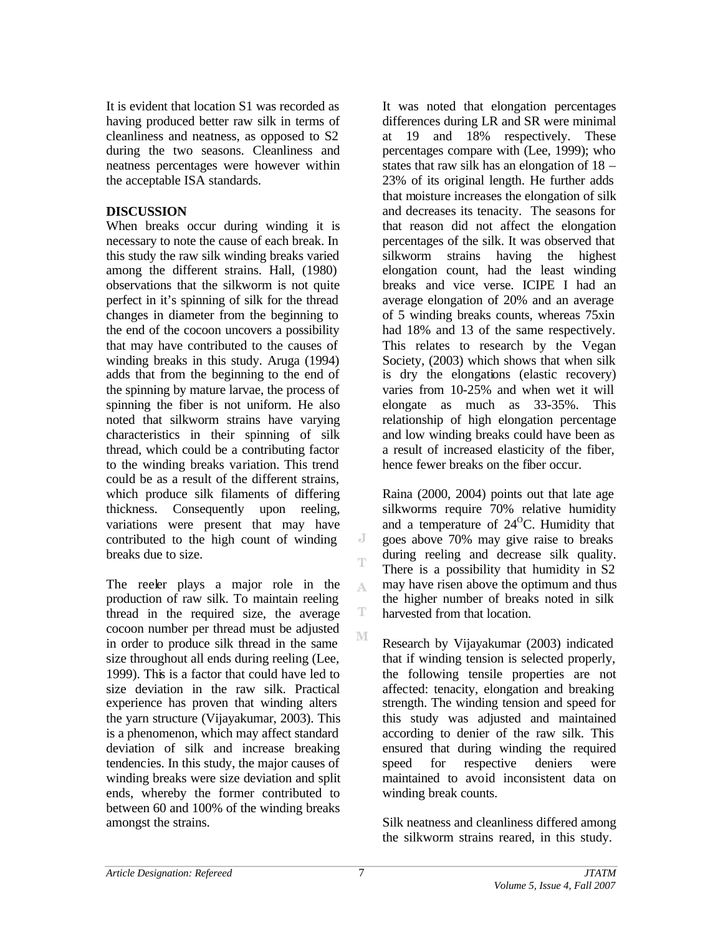It is evident that location S1 was recorded as having produced better raw silk in terms of cleanliness and neatness, as opposed to S2 during the two seasons. Cleanliness and neatness percentages were however within the acceptable ISA standards.

# **DISCUSSION**

When breaks occur during winding it is necessary to note the cause of each break. In this study the raw silk winding breaks varied among the different strains. Hall, (1980) observations that the silkworm is not quite perfect in it's spinning of silk for the thread changes in diameter from the beginning to the end of the cocoon uncovers a possibility that may have contributed to the causes of winding breaks in this study. Aruga (1994) adds that from the beginning to the end of the spinning by mature larvae, the process of spinning the fiber is not uniform. He also noted that silkworm strains have varying characteristics in their spinning of silk thread, which could be a contributing factor to the winding breaks variation. This trend could be as a result of the different strains, which produce silk filaments of differing thickness. Consequently upon reeling, variations were present that may have contributed to the high count of winding breaks due to size.

The reeler plays a major role in the production of raw silk. To maintain reeling thread in the required size, the average cocoon number per thread must be adjusted in order to produce silk thread in the same size throughout all ends during reeling (Lee, 1999). This is a factor that could have led to size deviation in the raw silk. Practical experience has proven that winding alters the yarn structure (Vijayakumar, 2003). This is a phenomenon, which may affect standard deviation of silk and increase breaking tendencies. In this study, the major causes of winding breaks were size deviation and split ends, whereby the former contributed to between 60 and 100% of the winding breaks amongst the strains.

It was noted that elongation percentages differences during LR and SR were minimal at 19 and 18% respectively. These percentages compare with (Lee, 1999); who states that raw silk has an elongation of 18 – 23% of its original length. He further adds that moisture increases the elongation of silk and decreases its tenacity. The seasons for that reason did not affect the elongation percentages of the silk. It was observed that silkworm strains having the highest elongation count, had the least winding breaks and vice verse. ICIPE I had an average elongation of 20% and an average of 5 winding breaks counts, whereas 75xin had 18% and 13 of the same respectively. This relates to research by the Vegan Society, (2003) which shows that when silk is dry the elongations (elastic recovery) varies from 10-25% and when wet it will elongate as much as 33-35%. This relationship of high elongation percentage and low winding breaks could have been as a result of increased elasticity of the fiber, hence fewer breaks on the fiber occur.

Raina (2000, 2004) points out that late age silkworms require 70% relative humidity and a temperature of  $24^{\circ}$ C. Humidity that goes above 70% may give raise to breaks during reeling and decrease silk quality. There is a possibility that humidity in S2 may have risen above the optimum and thus the higher number of breaks noted in silk harvested from that location.

Research by Vijayakumar (2003) indicated that if winding tension is selected properly, the following tensile properties are not affected: tenacity, elongation and breaking strength. The winding tension and speed for this study was adjusted and maintained according to denier of the raw silk. This ensured that during winding the required speed for respective deniers were maintained to avoid inconsistent data on winding break counts.

Silk neatness and cleanliness differed among the silkworm strains reared, in this study.

J T

A

T M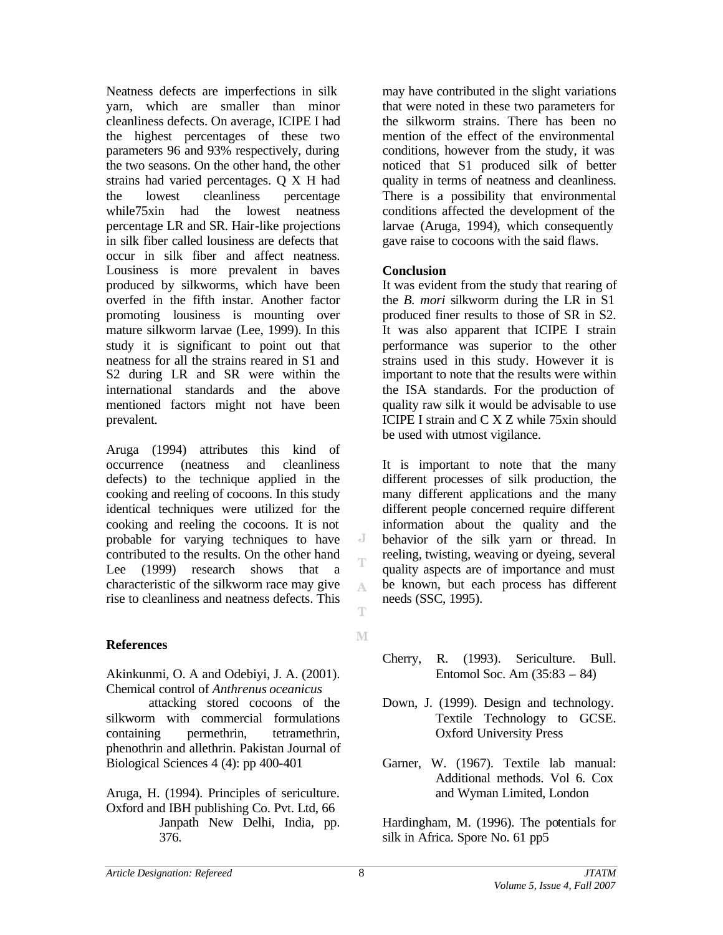Neatness defects are imperfections in silk yarn, which are smaller than minor cleanliness defects. On average, ICIPE I had the highest percentages of these two parameters 96 and 93% respectively, during the two seasons. On the other hand, the other strains had varied percentages. Q X H had the lowest cleanliness percentage while75xin had the lowest neatness percentage LR and SR. Hair-like projections in silk fiber called lousiness are defects that occur in silk fiber and affect neatness. Lousiness is more prevalent in baves produced by silkworms, which have been overfed in the fifth instar. Another factor promoting lousiness is mounting over mature silkworm larvae (Lee, 1999). In this study it is significant to point out that neatness for all the strains reared in S1 and S2 during LR and SR were within the international standards and the above mentioned factors might not have been prevalent.

Aruga (1994) attributes this kind of occurrence (neatness and cleanliness defects) to the technique applied in the cooking and reeling of cocoons. In this study identical techniques were utilized for the cooking and reeling the cocoons. It is not probable for varying techniques to have contributed to the results. On the other hand Lee (1999) research shows that a characteristic of the silkworm race may give rise to cleanliness and neatness defects. This

#### **References**

Akinkunmi, O. A and Odebiyi, J. A. (2001). Chemical control of *Anthrenus oceanicus* 

attacking stored cocoons of the silkworm with commercial formulations containing permethrin, tetramethrin, phenothrin and allethrin. Pakistan Journal of Biological Sciences 4 (4): pp 400-401

Aruga, H. (1994). Principles of sericulture. Oxford and IBH publishing Co. Pvt. Ltd, 66 Janpath New Delhi, India, pp. 376.

may have contributed in the slight variations that were noted in these two parameters for the silkworm strains. There has been no mention of the effect of the environmental conditions, however from the study, it was noticed that S1 produced silk of better quality in terms of neatness and cleanliness. There is a possibility that environmental conditions affected the development of the larvae (Aruga, 1994), which consequently gave raise to cocoons with the said flaws.

#### **Conclusion**

It was evident from the study that rearing of the *B. mori* silkworm during the LR in S1 produced finer results to those of SR in S2. It was also apparent that ICIPE I strain performance was superior to the other strains used in this study. However it is important to note that the results were within the ISA standards. For the production of quality raw silk it would be advisable to use ICIPE I strain and C X Z while 75xin should be used with utmost vigilance.

It is important to note that the many different processes of silk production, the many different applications and the many different people concerned require different information about the quality and the behavior of the silk yarn or thread. In reeling, twisting, weaving or dyeing, several quality aspects are of importance and must be known, but each process has different needs (SSC, 1995).

- Cherry, R. (1993). Sericulture. Bull. Entomol Soc. Am (35:83 – 84)
- Down, J. (1999). Design and technology. Textile Technology to GCSE. Oxford University Press
- Garner, W. (1967). Textile lab manual: Additional methods. Vol 6. Cox and Wyman Limited, London

Hardingham, M. (1996). The potentials for silk in Africa. Spore No. 61 pp5

J Ť

A

Ŧ

M